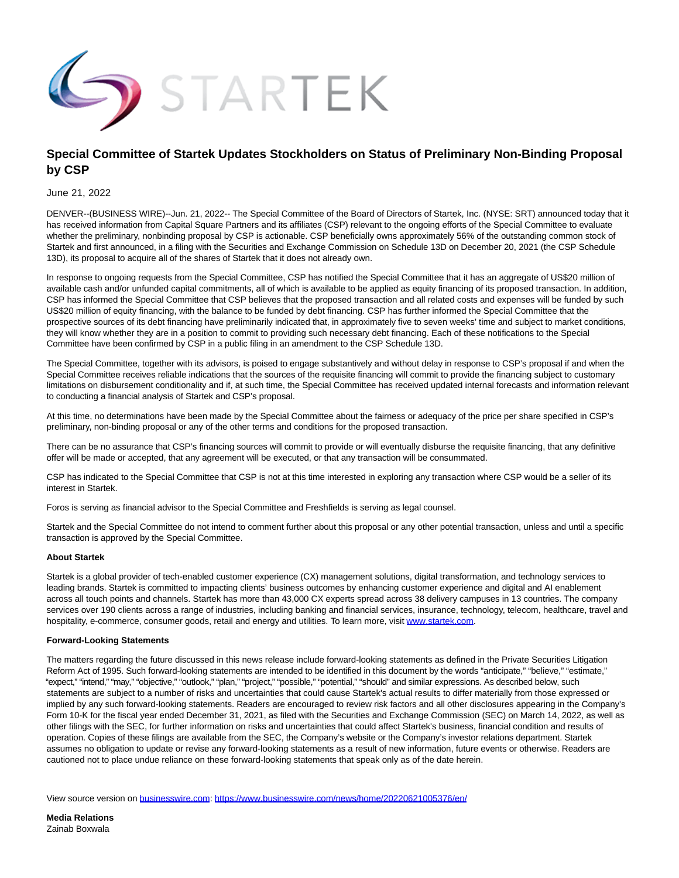

# **Special Committee of Startek Updates Stockholders on Status of Preliminary Non-Binding Proposal by CSP**

### June 21, 2022

DENVER--(BUSINESS WIRE)--Jun. 21, 2022-- The Special Committee of the Board of Directors of Startek, Inc. (NYSE: SRT) announced today that it has received information from Capital Square Partners and its affiliates (CSP) relevant to the ongoing efforts of the Special Committee to evaluate whether the preliminary, nonbinding proposal by CSP is actionable. CSP beneficially owns approximately 56% of the outstanding common stock of Startek and first announced, in a filing with the Securities and Exchange Commission on Schedule 13D on December 20, 2021 (the CSP Schedule 13D), its proposal to acquire all of the shares of Startek that it does not already own.

In response to ongoing requests from the Special Committee, CSP has notified the Special Committee that it has an aggregate of US\$20 million of available cash and/or unfunded capital commitments, all of which is available to be applied as equity financing of its proposed transaction. In addition, CSP has informed the Special Committee that CSP believes that the proposed transaction and all related costs and expenses will be funded by such US\$20 million of equity financing, with the balance to be funded by debt financing. CSP has further informed the Special Committee that the prospective sources of its debt financing have preliminarily indicated that, in approximately five to seven weeks' time and subject to market conditions, they will know whether they are in a position to commit to providing such necessary debt financing. Each of these notifications to the Special Committee have been confirmed by CSP in a public filing in an amendment to the CSP Schedule 13D.

The Special Committee, together with its advisors, is poised to engage substantively and without delay in response to CSP's proposal if and when the Special Committee receives reliable indications that the sources of the requisite financing will commit to provide the financing subject to customary limitations on disbursement conditionality and if, at such time, the Special Committee has received updated internal forecasts and information relevant to conducting a financial analysis of Startek and CSP's proposal.

At this time, no determinations have been made by the Special Committee about the fairness or adequacy of the price per share specified in CSP's preliminary, non-binding proposal or any of the other terms and conditions for the proposed transaction.

There can be no assurance that CSP's financing sources will commit to provide or will eventually disburse the requisite financing, that any definitive offer will be made or accepted, that any agreement will be executed, or that any transaction will be consummated.

CSP has indicated to the Special Committee that CSP is not at this time interested in exploring any transaction where CSP would be a seller of its interest in Startek.

Foros is serving as financial advisor to the Special Committee and Freshfields is serving as legal counsel.

Startek and the Special Committee do not intend to comment further about this proposal or any other potential transaction, unless and until a specific transaction is approved by the Special Committee.

#### **About Startek**

Startek is a global provider of tech-enabled customer experience (CX) management solutions, digital transformation, and technology services to leading brands. Startek is committed to impacting clients' business outcomes by enhancing customer experience and digital and AI enablement across all touch points and channels. Startek has more than 43,000 CX experts spread across 38 delivery campuses in 13 countries. The company services over 190 clients across a range of industries, including banking and financial services, insurance, technology, telecom, healthcare, travel and hospitality, e-commerce, consumer goods, retail and energy and utilities. To learn more, visit [www.startek.com.](https://cts.businesswire.com/ct/CT?id=smartlink&url=http%3A%2F%2Fwww.startek.com&esheet=52756073&newsitemid=20220621005376&lan=en-US&anchor=www.startek.com&index=1&md5=c27c5876dab644faace3fc56492f26f0)

#### **Forward-Looking Statements**

The matters regarding the future discussed in this news release include forward-looking statements as defined in the Private Securities Litigation Reform Act of 1995. Such forward-looking statements are intended to be identified in this document by the words "anticipate," "believe," "estimate," "expect," "intend," "may," "objective," "outlook," "plan," "project," "possible," "potential," "should" and similar expressions. As described below, such statements are subject to a number of risks and uncertainties that could cause Startek's actual results to differ materially from those expressed or implied by any such forward-looking statements. Readers are encouraged to review risk factors and all other disclosures appearing in the Company's Form 10-K for the fiscal year ended December 31, 2021, as filed with the Securities and Exchange Commission (SEC) on March 14, 2022, as well as other filings with the SEC, for further information on risks and uncertainties that could affect Startek's business, financial condition and results of operation. Copies of these filings are available from the SEC, the Company's website or the Company's investor relations department. Startek assumes no obligation to update or revise any forward-looking statements as a result of new information, future events or otherwise. Readers are cautioned not to place undue reliance on these forward-looking statements that speak only as of the date herein.

View source version on [businesswire.com:](http://businesswire.com/)<https://www.businesswire.com/news/home/20220621005376/en/>

**Media Relations** Zainab Boxwala